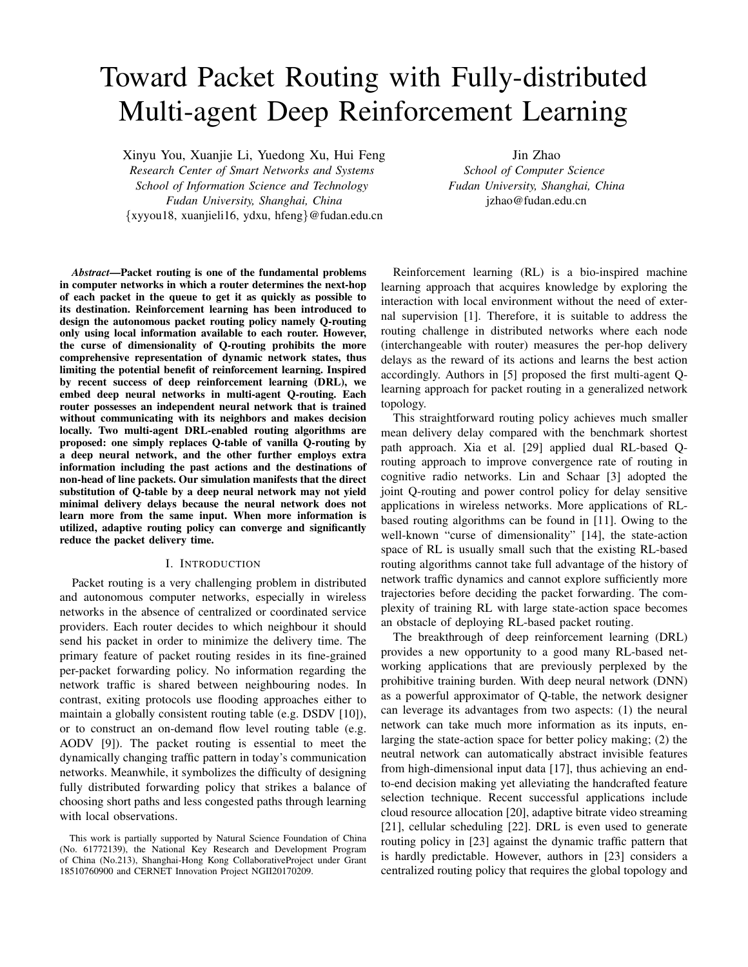# Toward Packet Routing with Fully-distributed Multi-agent Deep Reinforcement Learning

Xinyu You, Xuanjie Li, Yuedong Xu, Hui Feng *Research Center of Smart Networks and Systems School of Information Science and Technology Fudan University, Shanghai, China* {xyyou18, xuanjieli16, ydxu, hfeng}@fudan.edu.cn

Jin Zhao *School of Computer Science Fudan University, Shanghai, China* jzhao@fudan.edu.cn

*Abstract*—Packet routing is one of the fundamental problems in computer networks in which a router determines the next-hop of each packet in the queue to get it as quickly as possible to its destination. Reinforcement learning has been introduced to design the autonomous packet routing policy namely Q-routing only using local information available to each router. However, the curse of dimensionality of Q-routing prohibits the more comprehensive representation of dynamic network states, thus limiting the potential benefit of reinforcement learning. Inspired by recent success of deep reinforcement learning (DRL), we embed deep neural networks in multi-agent Q-routing. Each router possesses an independent neural network that is trained without communicating with its neighbors and makes decision locally. Two multi-agent DRL-enabled routing algorithms are proposed: one simply replaces Q-table of vanilla Q-routing by a deep neural network, and the other further employs extra information including the past actions and the destinations of non-head of line packets. Our simulation manifests that the direct substitution of Q-table by a deep neural network may not yield minimal delivery delays because the neural network does not learn more from the same input. When more information is utilized, adaptive routing policy can converge and significantly reduce the packet delivery time.

# I. INTRODUCTION

Packet routing is a very challenging problem in distributed and autonomous computer networks, especially in wireless networks in the absence of centralized or coordinated service providers. Each router decides to which neighbour it should send his packet in order to minimize the delivery time. The primary feature of packet routing resides in its fine-grained per-packet forwarding policy. No information regarding the network traffic is shared between neighbouring nodes. In contrast, exiting protocols use flooding approaches either to maintain a globally consistent routing table (e.g. DSDV [10]), or to construct an on-demand flow level routing table (e.g. AODV [9]). The packet routing is essential to meet the dynamically changing traffic pattern in today's communication networks. Meanwhile, it symbolizes the difficulty of designing fully distributed forwarding policy that strikes a balance of choosing short paths and less congested paths through learning with local observations.

Reinforcement learning (RL) is a bio-inspired machine learning approach that acquires knowledge by exploring the interaction with local environment without the need of external supervision [1]. Therefore, it is suitable to address the routing challenge in distributed networks where each node (interchangeable with router) measures the per-hop delivery delays as the reward of its actions and learns the best action accordingly. Authors in [5] proposed the first multi-agent Qlearning approach for packet routing in a generalized network topology.

This straightforward routing policy achieves much smaller mean delivery delay compared with the benchmark shortest path approach. Xia et al. [29] applied dual RL-based Qrouting approach to improve convergence rate of routing in cognitive radio networks. Lin and Schaar [3] adopted the joint Q-routing and power control policy for delay sensitive applications in wireless networks. More applications of RLbased routing algorithms can be found in [11]. Owing to the well-known "curse of dimensionality" [14], the state-action space of RL is usually small such that the existing RL-based routing algorithms cannot take full advantage of the history of network traffic dynamics and cannot explore sufficiently more trajectories before deciding the packet forwarding. The complexity of training RL with large state-action space becomes an obstacle of deploying RL-based packet routing.

The breakthrough of deep reinforcement learning (DRL) provides a new opportunity to a good many RL-based networking applications that are previously perplexed by the prohibitive training burden. With deep neural network (DNN) as a powerful approximator of Q-table, the network designer can leverage its advantages from two aspects: (1) the neural network can take much more information as its inputs, enlarging the state-action space for better policy making; (2) the neutral network can automatically abstract invisible features from high-dimensional input data [17], thus achieving an endto-end decision making yet alleviating the handcrafted feature selection technique. Recent successful applications include cloud resource allocation [20], adaptive bitrate video streaming [21], cellular scheduling [22]. DRL is even used to generate routing policy in [23] against the dynamic traffic pattern that is hardly predictable. However, authors in [23] considers a centralized routing policy that requires the global topology and

This work is partially supported by Natural Science Foundation of China (No. 61772139), the National Key Research and Development Program of China (No.213), Shanghai-Hong Kong CollaborativeProject under Grant 18510760900 and CERNET Innovation Project NGII20170209.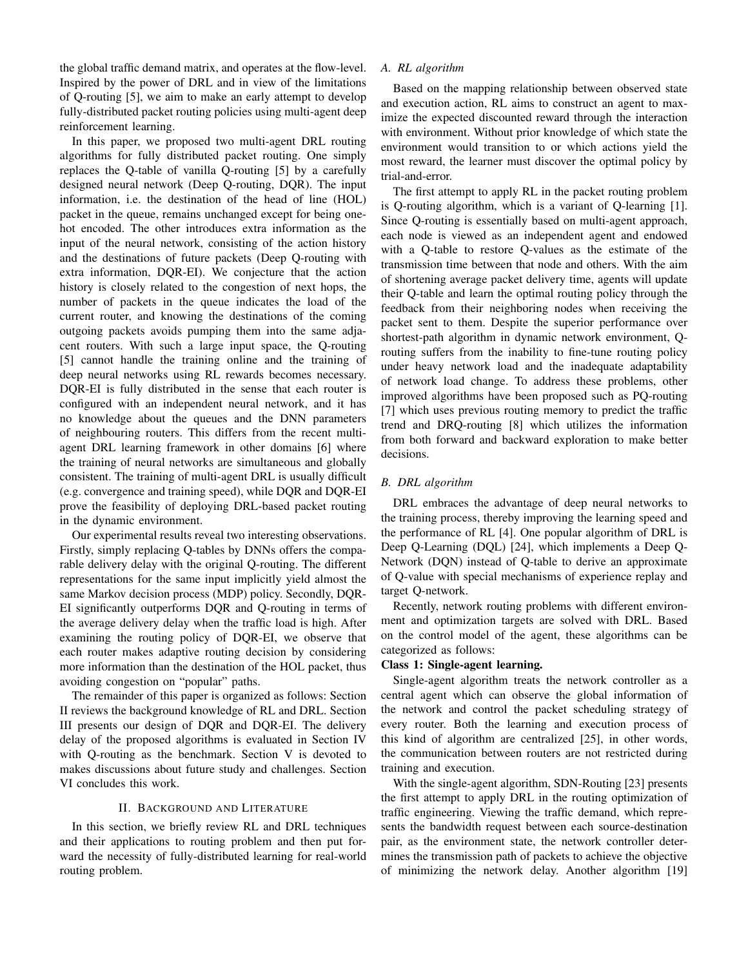the global traffic demand matrix, and operates at the flow-level. Inspired by the power of DRL and in view of the limitations of Q-routing [5], we aim to make an early attempt to develop fully-distributed packet routing policies using multi-agent deep reinforcement learning.

In this paper, we proposed two multi-agent DRL routing algorithms for fully distributed packet routing. One simply replaces the Q-table of vanilla Q-routing [5] by a carefully designed neural network (Deep Q-routing, DQR). The input information, i.e. the destination of the head of line (HOL) packet in the queue, remains unchanged except for being onehot encoded. The other introduces extra information as the input of the neural network, consisting of the action history and the destinations of future packets (Deep Q-routing with extra information, DQR-EI). We conjecture that the action history is closely related to the congestion of next hops, the number of packets in the queue indicates the load of the current router, and knowing the destinations of the coming outgoing packets avoids pumping them into the same adjacent routers. With such a large input space, the Q-routing [5] cannot handle the training online and the training of deep neural networks using RL rewards becomes necessary. DQR-EI is fully distributed in the sense that each router is configured with an independent neural network, and it has no knowledge about the queues and the DNN parameters of neighbouring routers. This differs from the recent multiagent DRL learning framework in other domains [6] where the training of neural networks are simultaneous and globally consistent. The training of multi-agent DRL is usually difficult (e.g. convergence and training speed), while DQR and DQR-EI prove the feasibility of deploying DRL-based packet routing in the dynamic environment.

Our experimental results reveal two interesting observations. Firstly, simply replacing Q-tables by DNNs offers the comparable delivery delay with the original Q-routing. The different representations for the same input implicitly yield almost the same Markov decision process (MDP) policy. Secondly, DQR-EI significantly outperforms DQR and Q-routing in terms of the average delivery delay when the traffic load is high. After examining the routing policy of DQR-EI, we observe that each router makes adaptive routing decision by considering more information than the destination of the HOL packet, thus avoiding congestion on "popular" paths.

The remainder of this paper is organized as follows: Section II reviews the background knowledge of RL and DRL. Section III presents our design of DQR and DQR-EI. The delivery delay of the proposed algorithms is evaluated in Section IV with Q-routing as the benchmark. Section V is devoted to makes discussions about future study and challenges. Section VI concludes this work.

# II. BACKGROUND AND LITERATURE

In this section, we briefly review RL and DRL techniques and their applications to routing problem and then put forward the necessity of fully-distributed learning for real-world routing problem.

# *A. RL algorithm*

Based on the mapping relationship between observed state and execution action, RL aims to construct an agent to maximize the expected discounted reward through the interaction with environment. Without prior knowledge of which state the environment would transition to or which actions yield the most reward, the learner must discover the optimal policy by trial-and-error.

The first attempt to apply RL in the packet routing problem is Q-routing algorithm, which is a variant of Q-learning [1]. Since Q-routing is essentially based on multi-agent approach, each node is viewed as an independent agent and endowed with a Q-table to restore Q-values as the estimate of the transmission time between that node and others. With the aim of shortening average packet delivery time, agents will update their Q-table and learn the optimal routing policy through the feedback from their neighboring nodes when receiving the packet sent to them. Despite the superior performance over shortest-path algorithm in dynamic network environment, Qrouting suffers from the inability to fine-tune routing policy under heavy network load and the inadequate adaptability of network load change. To address these problems, other improved algorithms have been proposed such as PQ-routing [7] which uses previous routing memory to predict the traffic trend and DRQ-routing [8] which utilizes the information from both forward and backward exploration to make better decisions.

## *B. DRL algorithm*

DRL embraces the advantage of deep neural networks to the training process, thereby improving the learning speed and the performance of RL [4]. One popular algorithm of DRL is Deep Q-Learning (DQL) [24], which implements a Deep Q-Network (DQN) instead of Q-table to derive an approximate of Q-value with special mechanisms of experience replay and target Q-network.

Recently, network routing problems with different environment and optimization targets are solved with DRL. Based on the control model of the agent, these algorithms can be categorized as follows:

## Class 1: Single-agent learning.

Single-agent algorithm treats the network controller as a central agent which can observe the global information of the network and control the packet scheduling strategy of every router. Both the learning and execution process of this kind of algorithm are centralized [25], in other words, the communication between routers are not restricted during training and execution.

With the single-agent algorithm, SDN-Routing [23] presents the first attempt to apply DRL in the routing optimization of traffic engineering. Viewing the traffic demand, which represents the bandwidth request between each source-destination pair, as the environment state, the network controller determines the transmission path of packets to achieve the objective of minimizing the network delay. Another algorithm [19]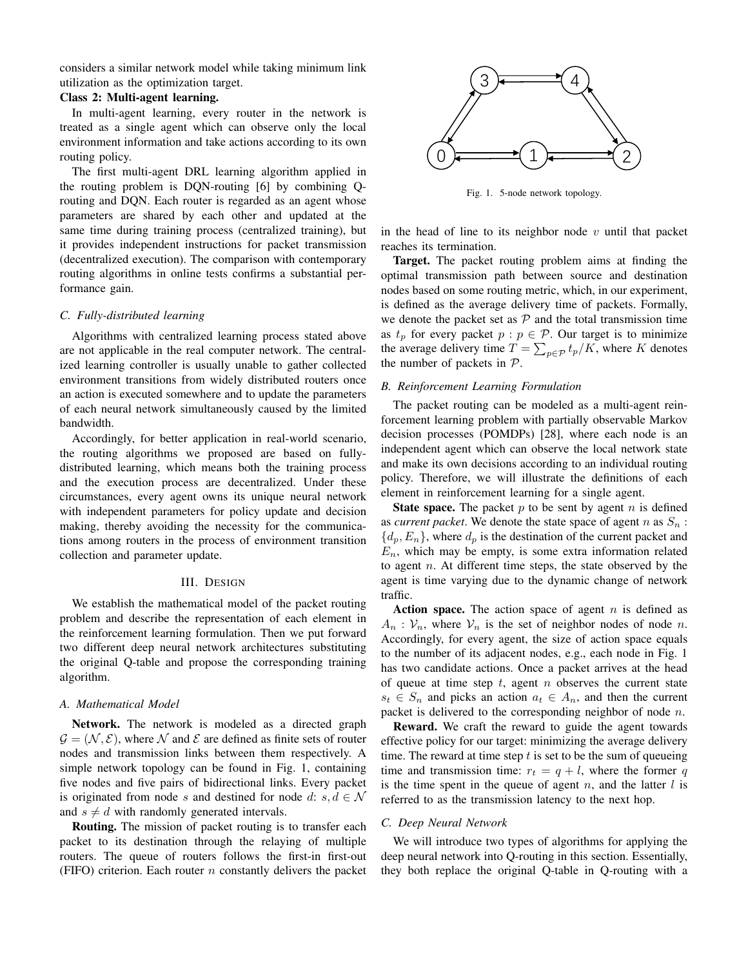considers a similar network model while taking minimum link utilization as the optimization target.

## Class 2: Multi-agent learning.

In multi-agent learning, every router in the network is treated as a single agent which can observe only the local environment information and take actions according to its own routing policy.

The first multi-agent DRL learning algorithm applied in the routing problem is DQN-routing [6] by combining Qrouting and DQN. Each router is regarded as an agent whose parameters are shared by each other and updated at the same time during training process (centralized training), but it provides independent instructions for packet transmission (decentralized execution). The comparison with contemporary routing algorithms in online tests confirms a substantial performance gain.

# *C. Fully-distributed learning*

Algorithms with centralized learning process stated above are not applicable in the real computer network. The centralized learning controller is usually unable to gather collected environment transitions from widely distributed routers once an action is executed somewhere and to update the parameters of each neural network simultaneously caused by the limited bandwidth.

Accordingly, for better application in real-world scenario, the routing algorithms we proposed are based on fullydistributed learning, which means both the training process and the execution process are decentralized. Under these circumstances, every agent owns its unique neural network with independent parameters for policy update and decision making, thereby avoiding the necessity for the communications among routers in the process of environment transition collection and parameter update.

# III. DESIGN

We establish the mathematical model of the packet routing problem and describe the representation of each element in the reinforcement learning formulation. Then we put forward two different deep neural network architectures substituting the original Q-table and propose the corresponding training algorithm.

# *A. Mathematical Model*

Network. The network is modeled as a directed graph  $\mathcal{G} = (\mathcal{N}, \mathcal{E})$ , where N and E are defined as finite sets of router nodes and transmission links between them respectively. A simple network topology can be found in Fig. 1, containing five nodes and five pairs of bidirectional links. Every packet is originated from node s and destined for node d: s,  $d \in \mathcal{N}$ and  $s \neq d$  with randomly generated intervals.

Routing. The mission of packet routing is to transfer each packet to its destination through the relaying of multiple routers. The queue of routers follows the first-in first-out (FIFO) criterion. Each router  $n$  constantly delivers the packet



Fig. 1. 5-node network topology.

in the head of line to its neighbor node  $v$  until that packet reaches its termination.

Target. The packet routing problem aims at finding the optimal transmission path between source and destination nodes based on some routing metric, which, in our experiment, is defined as the average delivery time of packets. Formally, we denote the packet set as  $P$  and the total transmission time as  $t_p$  for every packet  $p : p \in \mathcal{P}$ . Our target is to minimize the average delivery time  $T = \sum_{p \in \mathcal{P}} t_p/K$ , where K denotes the number of packets in  $P$ .

# *B. Reinforcement Learning Formulation*

The packet routing can be modeled as a multi-agent reinforcement learning problem with partially observable Markov decision processes (POMDPs) [28], where each node is an independent agent which can observe the local network state and make its own decisions according to an individual routing policy. Therefore, we will illustrate the definitions of each element in reinforcement learning for a single agent.

**State space.** The packet  $p$  to be sent by agent  $n$  is defined as *current packet*. We denote the state space of agent  $n$  as  $S_n$ :  ${d_p, E_n}$ , where  $d_p$  is the destination of the current packet and  $E_n$ , which may be empty, is some extra information related to agent  $n$ . At different time steps, the state observed by the agent is time varying due to the dynamic change of network traffic.

Action space. The action space of agent  $n$  is defined as  $A_n$ :  $V_n$ , where  $V_n$  is the set of neighbor nodes of node n. Accordingly, for every agent, the size of action space equals to the number of its adjacent nodes, e.g., each node in Fig. 1 has two candidate actions. Once a packet arrives at the head of queue at time step  $t$ , agent  $n$  observes the current state  $s_t \in S_n$  and picks an action  $a_t \in A_n$ , and then the current packet is delivered to the corresponding neighbor of node  $n$ .

Reward. We craft the reward to guide the agent towards effective policy for our target: minimizing the average delivery time. The reward at time step  $t$  is set to be the sum of queueing time and transmission time:  $r_t = q + l$ , where the former q is the time spent in the queue of agent  $n$ , and the latter  $l$  is referred to as the transmission latency to the next hop.

#### *C. Deep Neural Network*

We will introduce two types of algorithms for applying the deep neural network into Q-routing in this section. Essentially, they both replace the original Q-table in Q-routing with a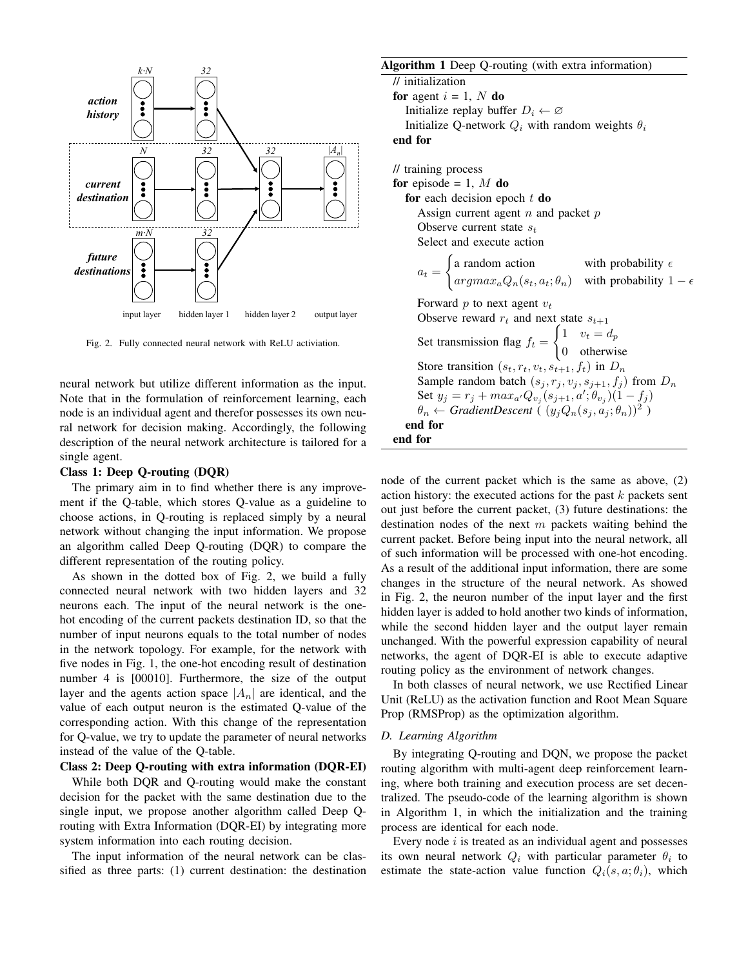

Fig. 2. Fully connected neural network with ReLU activiation.

neural network but utilize different information as the input. Note that in the formulation of reinforcement learning, each node is an individual agent and therefor possesses its own neural network for decision making. Accordingly, the following description of the neural network architecture is tailored for a single agent.

# Class 1: Deep Q-routing (DQR)

The primary aim in to find whether there is any improvement if the Q-table, which stores Q-value as a guideline to choose actions, in Q-routing is replaced simply by a neural network without changing the input information. We propose an algorithm called Deep Q-routing (DQR) to compare the different representation of the routing policy.

As shown in the dotted box of Fig. 2, we build a fully connected neural network with two hidden layers and 32 neurons each. The input of the neural network is the onehot encoding of the current packets destination ID, so that the number of input neurons equals to the total number of nodes in the network topology. For example, for the network with five nodes in Fig. 1, the one-hot encoding result of destination number 4 is [00010]. Furthermore, the size of the output layer and the agents action space  $|A_n|$  are identical, and the value of each output neuron is the estimated Q-value of the corresponding action. With this change of the representation for Q-value, we try to update the parameter of neural networks instead of the value of the Q-table.

# Class 2: Deep Q-routing with extra information (DQR-EI)

While both DQR and Q-routing would make the constant decision for the packet with the same destination due to the single input, we propose another algorithm called Deep Qrouting with Extra Information (DQR-EI) by integrating more system information into each routing decision.

The input information of the neural network can be classified as three parts: (1) current destination: the destination

# Algorithm 1 Deep Q-routing (with extra information)

// initialization for agent  $i = 1, N$  do Initialize replay buffer  $D_i \leftarrow \emptyset$ Initialize Q-network  $Q_i$  with random weights  $\theta_i$ end for

// training process for episode = 1,  $M$  do for each decision epoch  $t$  do Assign current agent  $n$  and packet  $p$ Observe current state  $s_t$ Select and execute action  $a_t =$  $\int$  a random action with probability  $\epsilon$  $argmax_a Q_n(s_t, a_t; \theta_n)$  with probability  $1 - \epsilon$ Forward  $p$  to next agent  $v_t$ Observe reward  $r_t$  and next state  $s_{t+1}$ Set transmission flag  $f_t =$  $\int 1$   $v_t = d_p$ 0 otherwise Store transition  $(s_t, r_t, v_t, s_{t+1}, f_t)$  in  $D_n$ Sample random batch  $(s_j, r_j, v_j, s_{j+1}, f_j)$  from  $D_n$ Set  $y_j = r_j + max_{a'}Q_{v_j}(s_{j+1}, a'; \theta_{v_j})(1 - f_j)$  $\theta_n \leftarrow GradientDescent$  ( $(y_j Q_n(s_j, a_j; \theta_n))^2$ ) end for end for

node of the current packet which is the same as above, (2) action history: the executed actions for the past  $k$  packets sent out just before the current packet, (3) future destinations: the destination nodes of the next  $m$  packets waiting behind the current packet. Before being input into the neural network, all of such information will be processed with one-hot encoding. As a result of the additional input information, there are some changes in the structure of the neural network. As showed in Fig. 2, the neuron number of the input layer and the first hidden layer is added to hold another two kinds of information, while the second hidden layer and the output layer remain unchanged. With the powerful expression capability of neural networks, the agent of DQR-EI is able to execute adaptive routing policy as the environment of network changes.

In both classes of neural network, we use Rectified Linear Unit (ReLU) as the activation function and Root Mean Square Prop (RMSProp) as the optimization algorithm.

## *D. Learning Algorithm*

By integrating Q-routing and DQN, we propose the packet routing algorithm with multi-agent deep reinforcement learning, where both training and execution process are set decentralized. The pseudo-code of the learning algorithm is shown in Algorithm 1, in which the initialization and the training process are identical for each node.

Every node  $i$  is treated as an individual agent and possesses its own neural network  $Q_i$  with particular parameter  $\theta_i$  to estimate the state-action value function  $Q_i(s, a; \theta_i)$ , which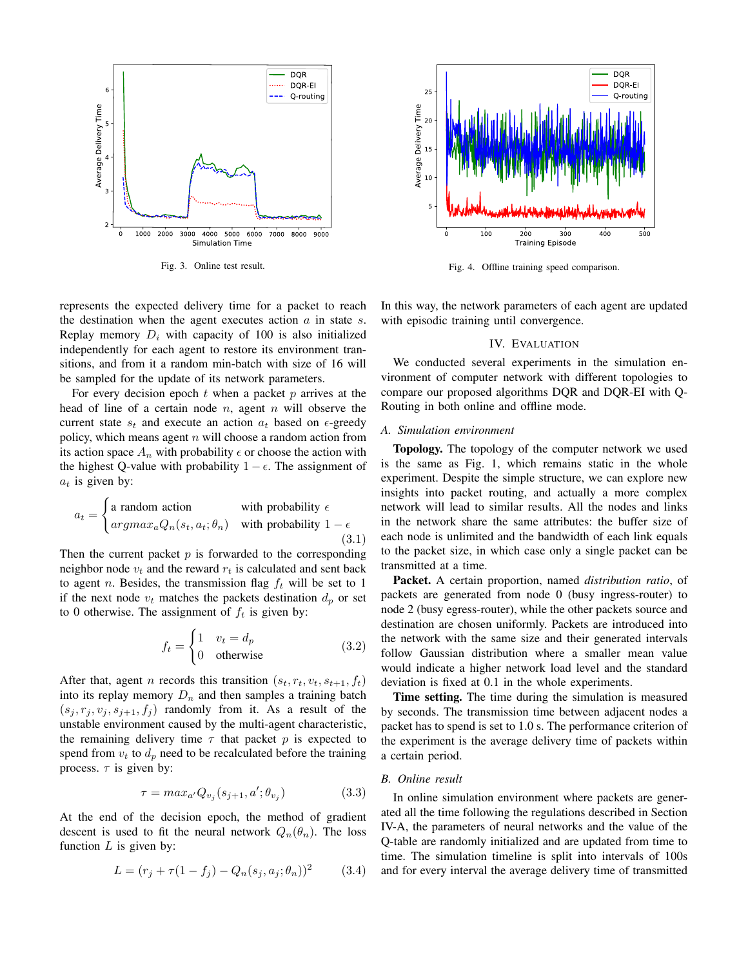

Fig. 3. Online test result.

represents the expected delivery time for a packet to reach the destination when the agent executes action  $a$  in state  $s$ . Replay memory  $D_i$  with capacity of 100 is also initialized independently for each agent to restore its environment transitions, and from it a random min-batch with size of 16 will be sampled for the update of its network parameters.

For every decision epoch  $t$  when a packet  $p$  arrives at the head of line of a certain node  $n$ , agent  $n$  will observe the current state  $s_t$  and execute an action  $a_t$  based on  $\epsilon$ -greedy policy, which means agent  $n$  will choose a random action from its action space  $A_n$  with probability  $\epsilon$  or choose the action with the highest Q-value with probability  $1 - \epsilon$ . The assignment of  $a_t$  is given by:

$$
a_t = \begin{cases} \text{a random action} & \text{with probability } \epsilon \\ \text{argmax}_a Q_n(s_t, a_t; \theta_n) & \text{with probability } 1 - \epsilon \\ \text{(3.1)} \end{cases}
$$

Then the current packet  $p$  is forwarded to the corresponding neighbor node  $v_t$  and the reward  $r_t$  is calculated and sent back to agent *n*. Besides, the transmission flag  $f_t$  will be set to 1 if the next node  $v_t$  matches the packets destination  $d_p$  or set to 0 otherwise. The assignment of  $f_t$  is given by:

$$
f_t = \begin{cases} 1 & v_t = d_p \\ 0 & \text{otherwise} \end{cases}
$$
 (3.2)

After that, agent *n* records this transition  $(s_t, r_t, v_t, s_{t+1}, f_t)$ into its replay memory  $D_n$  and then samples a training batch  $(s_j, r_j, v_j, s_{j+1}, f_j)$  randomly from it. As a result of the unstable environment caused by the multi-agent characteristic, the remaining delivery time  $\tau$  that packet p is expected to spend from  $v_t$  to  $d_p$  need to be recalculated before the training process.  $\tau$  is given by:

$$
\tau = \max_{a'} Q_{v_j}(s_{j+1}, a'; \theta_{v_j}) \tag{3.3}
$$

At the end of the decision epoch, the method of gradient descent is used to fit the neural network  $Q_n(\theta_n)$ . The loss function  $L$  is given by:

$$
L = (r_j + \tau(1 - f_j) - Q_n(s_j, a_j; \theta_n))^2
$$
 (3.4)



Fig. 4. Offline training speed comparison.

In this way, the network parameters of each agent are updated with episodic training until convergence.

# IV. EVALUATION

We conducted several experiments in the simulation environment of computer network with different topologies to compare our proposed algorithms DQR and DQR-EI with Q-Routing in both online and offline mode.

#### *A. Simulation environment*

Topology. The topology of the computer network we used is the same as Fig. 1, which remains static in the whole experiment. Despite the simple structure, we can explore new insights into packet routing, and actually a more complex network will lead to similar results. All the nodes and links in the network share the same attributes: the buffer size of each node is unlimited and the bandwidth of each link equals to the packet size, in which case only a single packet can be transmitted at a time.

Packet. A certain proportion, named *distribution ratio*, of packets are generated from node 0 (busy ingress-router) to node 2 (busy egress-router), while the other packets source and destination are chosen uniformly. Packets are introduced into the network with the same size and their generated intervals follow Gaussian distribution where a smaller mean value would indicate a higher network load level and the standard deviation is fixed at 0.1 in the whole experiments.

Time setting. The time during the simulation is measured by seconds. The transmission time between adjacent nodes a packet has to spend is set to 1.0 s. The performance criterion of the experiment is the average delivery time of packets within a certain period.

## *B. Online result*

In online simulation environment where packets are generated all the time following the regulations described in Section IV-A, the parameters of neural networks and the value of the Q-table are randomly initialized and are updated from time to time. The simulation timeline is split into intervals of 100s and for every interval the average delivery time of transmitted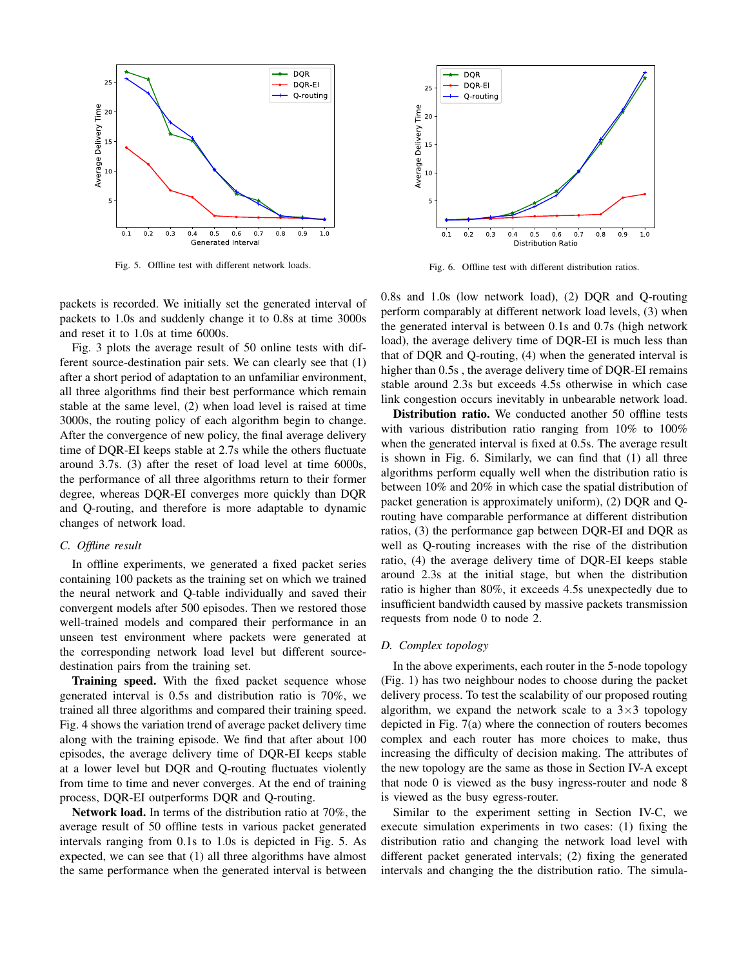

Fig. 5. Offline test with different network loads.



Fig. 6. Offline test with different distribution ratios.

packets is recorded. We initially set the generated interval of packets to 1.0s and suddenly change it to 0.8s at time 3000s and reset it to 1.0s at time 6000s.

Fig. 3 plots the average result of 50 online tests with different source-destination pair sets. We can clearly see that (1) after a short period of adaptation to an unfamiliar environment, all three algorithms find their best performance which remain stable at the same level, (2) when load level is raised at time 3000s, the routing policy of each algorithm begin to change. After the convergence of new policy, the final average delivery time of DQR-EI keeps stable at 2.7s while the others fluctuate around 3.7s. (3) after the reset of load level at time 6000s, the performance of all three algorithms return to their former degree, whereas DQR-EI converges more quickly than DQR and Q-routing, and therefore is more adaptable to dynamic changes of network load.

# *C. Offline result*

In offline experiments, we generated a fixed packet series containing 100 packets as the training set on which we trained the neural network and Q-table individually and saved their convergent models after 500 episodes. Then we restored those well-trained models and compared their performance in an unseen test environment where packets were generated at the corresponding network load level but different sourcedestination pairs from the training set.

Training speed. With the fixed packet sequence whose generated interval is 0.5s and distribution ratio is 70%, we trained all three algorithms and compared their training speed. Fig. 4 shows the variation trend of average packet delivery time along with the training episode. We find that after about 100 episodes, the average delivery time of DQR-EI keeps stable at a lower level but DQR and Q-routing fluctuates violently from time to time and never converges. At the end of training process, DQR-EI outperforms DQR and Q-routing.

Network load. In terms of the distribution ratio at 70%, the average result of 50 offline tests in various packet generated intervals ranging from 0.1s to 1.0s is depicted in Fig. 5. As expected, we can see that (1) all three algorithms have almost the same performance when the generated interval is between 0.8s and 1.0s (low network load), (2) DQR and Q-routing perform comparably at different network load levels, (3) when the generated interval is between 0.1s and 0.7s (high network load), the average delivery time of DQR-EI is much less than that of DQR and Q-routing, (4) when the generated interval is higher than  $0.5s$ , the average delivery time of DQR-EI remains stable around 2.3s but exceeds 4.5s otherwise in which case link congestion occurs inevitably in unbearable network load.

Distribution ratio. We conducted another 50 offline tests with various distribution ratio ranging from 10% to 100% when the generated interval is fixed at 0.5s. The average result is shown in Fig. 6. Similarly, we can find that (1) all three algorithms perform equally well when the distribution ratio is between 10% and 20% in which case the spatial distribution of packet generation is approximately uniform), (2) DQR and Qrouting have comparable performance at different distribution ratios, (3) the performance gap between DQR-EI and DQR as well as Q-routing increases with the rise of the distribution ratio, (4) the average delivery time of DQR-EI keeps stable around 2.3s at the initial stage, but when the distribution ratio is higher than 80%, it exceeds 4.5s unexpectedly due to insufficient bandwidth caused by massive packets transmission requests from node 0 to node 2.

# *D. Complex topology*

In the above experiments, each router in the 5-node topology (Fig. 1) has two neighbour nodes to choose during the packet delivery process. To test the scalability of our proposed routing algorithm, we expand the network scale to a  $3\times3$  topology depicted in Fig. 7(a) where the connection of routers becomes complex and each router has more choices to make, thus increasing the difficulty of decision making. The attributes of the new topology are the same as those in Section IV-A except that node 0 is viewed as the busy ingress-router and node 8 is viewed as the busy egress-router.

Similar to the experiment setting in Section IV-C, we execute simulation experiments in two cases: (1) fixing the distribution ratio and changing the network load level with different packet generated intervals; (2) fixing the generated intervals and changing the the distribution ratio. The simula-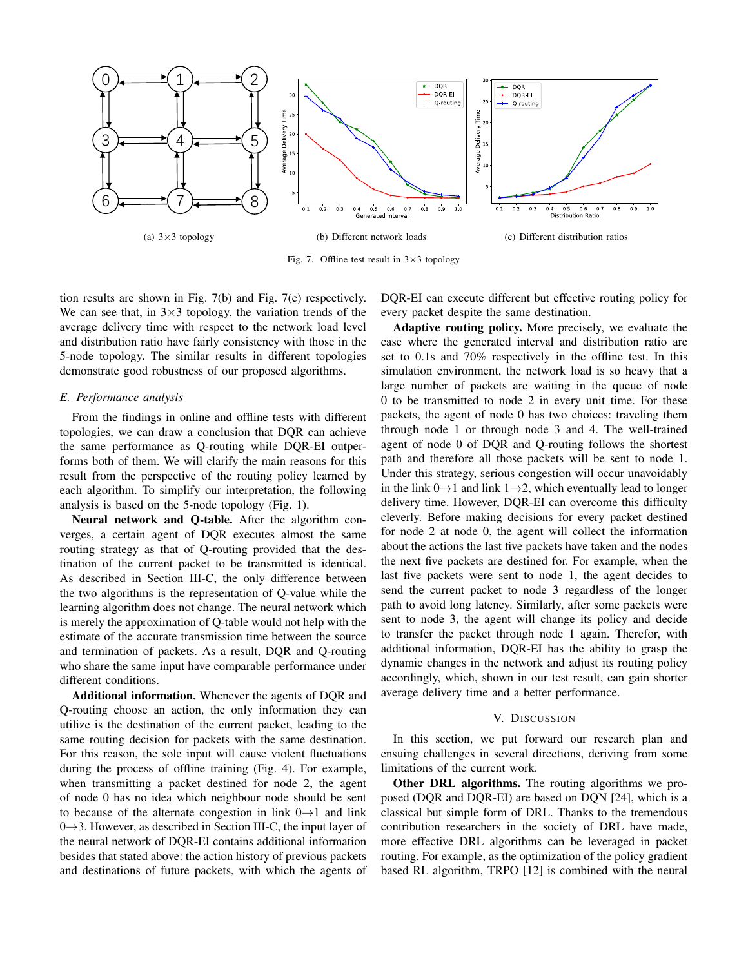

Fig. 7. Offline test result in  $3 \times 3$  topology

tion results are shown in Fig. 7(b) and Fig. 7(c) respectively. We can see that, in  $3\times3$  topology, the variation trends of the average delivery time with respect to the network load level and distribution ratio have fairly consistency with those in the 5-node topology. The similar results in different topologies demonstrate good robustness of our proposed algorithms.

# *E. Performance analysis*

From the findings in online and offline tests with different topologies, we can draw a conclusion that DQR can achieve the same performance as Q-routing while DQR-EI outperforms both of them. We will clarify the main reasons for this result from the perspective of the routing policy learned by each algorithm. To simplify our interpretation, the following analysis is based on the 5-node topology (Fig. 1).

Neural network and Q-table. After the algorithm converges, a certain agent of DQR executes almost the same routing strategy as that of Q-routing provided that the destination of the current packet to be transmitted is identical. As described in Section III-C, the only difference between the two algorithms is the representation of Q-value while the learning algorithm does not change. The neural network which is merely the approximation of Q-table would not help with the estimate of the accurate transmission time between the source and termination of packets. As a result, DQR and Q-routing who share the same input have comparable performance under different conditions.

Additional information. Whenever the agents of DQR and Q-routing choose an action, the only information they can utilize is the destination of the current packet, leading to the same routing decision for packets with the same destination. For this reason, the sole input will cause violent fluctuations during the process of offline training (Fig. 4). For example, when transmitting a packet destined for node 2, the agent of node 0 has no idea which neighbour node should be sent to because of the alternate congestion in link  $0 \rightarrow 1$  and link  $0\rightarrow 3$ . However, as described in Section III-C, the input layer of the neural network of DQR-EI contains additional information besides that stated above: the action history of previous packets and destinations of future packets, with which the agents of DQR-EI can execute different but effective routing policy for every packet despite the same destination.

Adaptive routing policy. More precisely, we evaluate the case where the generated interval and distribution ratio are set to 0.1s and 70% respectively in the offline test. In this simulation environment, the network load is so heavy that a large number of packets are waiting in the queue of node 0 to be transmitted to node 2 in every unit time. For these packets, the agent of node 0 has two choices: traveling them through node 1 or through node 3 and 4. The well-trained agent of node 0 of DQR and Q-routing follows the shortest path and therefore all those packets will be sent to node 1. Under this strategy, serious congestion will occur unavoidably in the link  $0\rightarrow 1$  and link  $1\rightarrow 2$ , which eventually lead to longer delivery time. However, DQR-EI can overcome this difficulty cleverly. Before making decisions for every packet destined for node 2 at node 0, the agent will collect the information about the actions the last five packets have taken and the nodes the next five packets are destined for. For example, when the last five packets were sent to node 1, the agent decides to send the current packet to node 3 regardless of the longer path to avoid long latency. Similarly, after some packets were sent to node 3, the agent will change its policy and decide to transfer the packet through node 1 again. Therefor, with additional information, DQR-EI has the ability to grasp the dynamic changes in the network and adjust its routing policy accordingly, which, shown in our test result, can gain shorter average delivery time and a better performance.

## V. DISCUSSION

In this section, we put forward our research plan and ensuing challenges in several directions, deriving from some limitations of the current work.

Other DRL algorithms. The routing algorithms we proposed (DQR and DQR-EI) are based on DQN [24], which is a classical but simple form of DRL. Thanks to the tremendous contribution researchers in the society of DRL have made, more effective DRL algorithms can be leveraged in packet routing. For example, as the optimization of the policy gradient based RL algorithm, TRPO [12] is combined with the neural